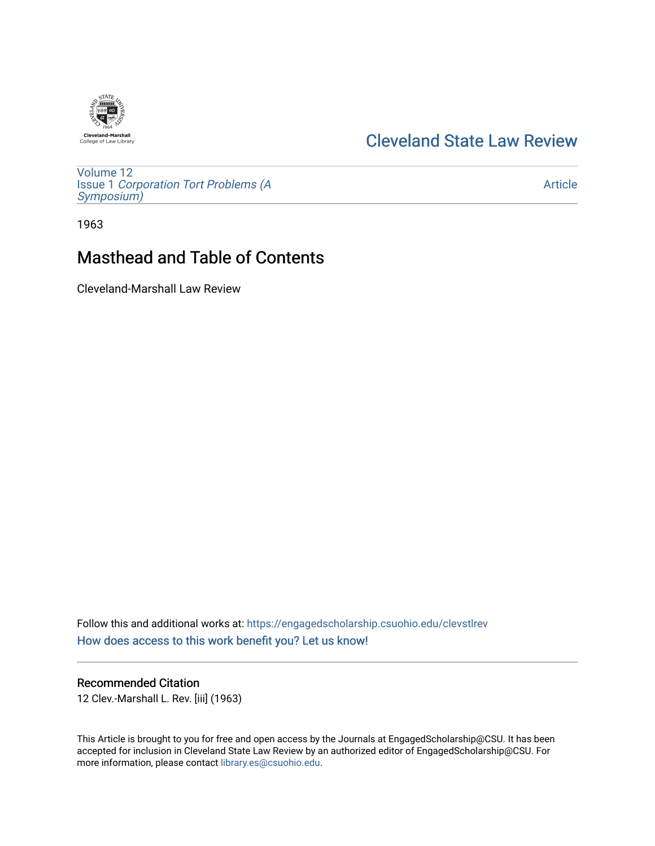## [Cleveland State Law Review](https://engagedscholarship.csuohio.edu/clevstlrev)

[Volume 12](https://engagedscholarship.csuohio.edu/clevstlrev/vol12) Issue 1 [Corporation Tort Problems \(A](https://engagedscholarship.csuohio.edu/clevstlrev/vol12/iss1) [Symposium\)](https://engagedscholarship.csuohio.edu/clevstlrev/vol12/iss1) 

[Article](https://engagedscholarship.csuohio.edu/clevstlrev/vol12/iss1/2) 

1963

# Masthead and Table of Contents

Cleveland-Marshall Law Review

Follow this and additional works at: [https://engagedscholarship.csuohio.edu/clevstlrev](https://engagedscholarship.csuohio.edu/clevstlrev?utm_source=engagedscholarship.csuohio.edu%2Fclevstlrev%2Fvol12%2Fiss1%2F2&utm_medium=PDF&utm_campaign=PDFCoverPages) [How does access to this work benefit you? Let us know!](http://library.csuohio.edu/engaged/)

### Recommended Citation

12 Clev.-Marshall L. Rev. [iii] (1963)

This Article is brought to you for free and open access by the Journals at EngagedScholarship@CSU. It has been accepted for inclusion in Cleveland State Law Review by an authorized editor of EngagedScholarship@CSU. For more information, please contact [library.es@csuohio.edu](mailto:library.es@csuohio.edu).

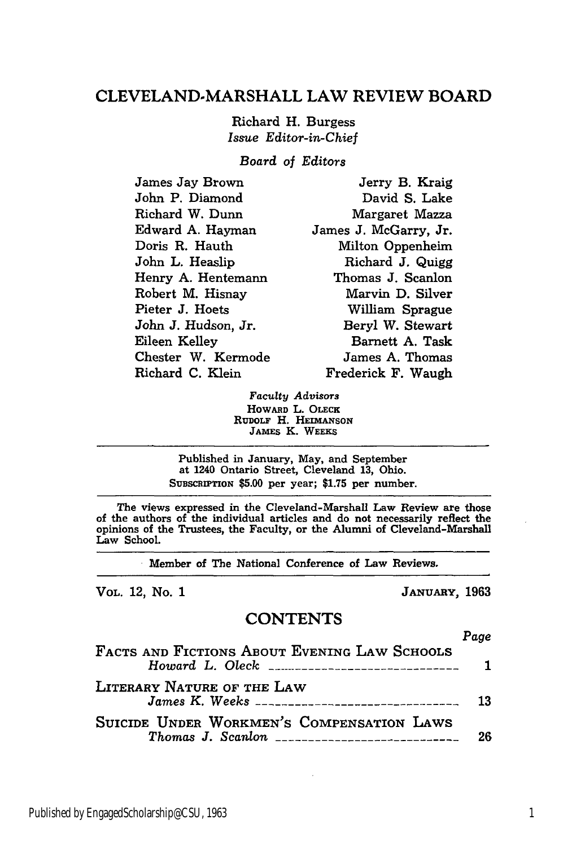### **CLEVELAND-MARSHALL** LAW REVIEW BOARD

Richard H. Burgess *Issue Editor-in-Chief*

*Board of Editors*

| James Jay Brown     | Jerry B. Kraig        |
|---------------------|-----------------------|
| John P. Diamond     | David S. Lake         |
| Richard W. Dunn     | Margaret Mazza        |
| Edward A. Hayman    | James J. McGarry, Jr. |
| Doris R. Hauth      | Milton Oppenheim      |
| John L. Heaslip     | Richard J. Quigg      |
| Henry A. Hentemann  | Thomas J. Scanlon     |
| Robert M. Hisnay    | Marvin D. Silver      |
| Pieter J. Hoets     | William Sprague       |
| John J. Hudson, Jr. | Beryl W. Stewart      |
| Eileen Kelley       | Barnett A. Task       |
| Chester W. Kermode  | James A. Thomas       |
| Richard C. Klein    | Frederick F. Waugh    |

Faculty *Advisors* HOWARD L. **OLEcx** RUDOLF H. HEIMANSON JAMES K. WEEKS

Published in January, May, and September at 1240 Ontario Street, Cleveland **13,** Ohio. **SUBSCRIPTION \$5.00** per year; **\$1.75** per number.

The views expressed in the Cleveland-Marshall Law Review are those of the authors of the individual articles and do not necessarily reflect the opinions of the Trustees, the Faculty, or the Alumni of Cleveland-Marshall Law School.

**.** Member of The National Conference of Law Reviews.

VOL. 12, No. **1** JANUARY, **1963**

#### **CONTENTS**

| FACTS AND FICTIONS ABOUT EVENING LAW SCHOOLS                                         | Page |
|--------------------------------------------------------------------------------------|------|
|                                                                                      |      |
| LITERARY NATURE OF THE LAW<br><i>James K. Weeks ________________________________</i> | 13   |
| SUICIDE UNDER WORKMEN'S COMPENSATION LAWS                                            | 26   |